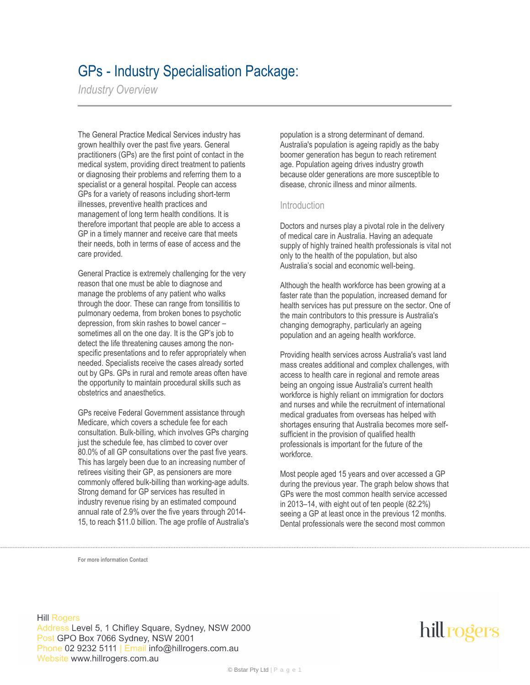## GPs - Industry Specialisation Package:

*Industry Overview*

The General Practice Medical Services industry has grown healthily over the past five years. General practitioners (GPs) are the first point of contact in the medical system, providing direct treatment to patients or diagnosing their problems and referring them to a specialist or a general hospital. People can access GPs for a variety of reasons including short-term illnesses, preventive health practices and management of long term health conditions. It is therefore important that people are able to access a GP in a timely manner and receive care that meets their needs, both in terms of ease of access and the care provided.

General Practice is extremely challenging for the very reason that one must be able to diagnose and manage the problems of any patient who walks through the door. These can range from tonsillitis to pulmonary oedema, from broken bones to psychotic depression, from skin rashes to bowel cancer – sometimes all on the one day. It is the GP's job to detect the life threatening causes among the nonspecific presentations and to refer appropriately when needed. Specialists receive the cases already sorted out by GPs. GPs in rural and remote areas often have the opportunity to maintain procedural skills such as obstetrics and anaesthetics.

GPs receive Federal Government assistance through Medicare, which covers a schedule fee for each consultation. Bulk-billing, which involves GPs charging just the schedule fee, has climbed to cover over 80.0% of all GP consultations over the past five years. This has largely been due to an increasing number of retirees visiting their GP, as pensioners are more commonly offered bulk-billing than working-age adults. Strong demand for GP services has resulted in industry revenue rising by an estimated compound annual rate of 2.9% over the five years through 2014- 15, to reach \$11.0 billion. The age profile of Australia's

population is a strong determinant of demand. Australia's population is ageing rapidly as the baby boomer generation has begun to reach retirement age. Population ageing drives industry growth because older generations are more susceptible to disease, chronic illness and minor ailments.

#### Introduction

Doctors and nurses play a pivotal role in the delivery of medical care in Australia. Having an adequate supply of highly trained health professionals is vital not only to the health of the population, but also Australia's social and economic well-being.

Although the health workforce has been growing at a faster rate than the population, increased demand for health services has put pressure on the sector. One of the main contributors to this pressure is Australia's changing demography, particularly an ageing population and an ageing health workforce.

Providing health services across Australia's vast land mass creates additional and complex challenges, with access to health care in regional and remote areas being an ongoing issue Australia's current health workforce is highly reliant on immigration for doctors and nurses and while the recruitment of international medical graduates from overseas has helped with shortages ensuring that Australia becomes more selfsufficient in the provision of qualified health professionals is important for the future of the workforce.

Most people aged 15 years and over accessed a GP during the previous year. The graph below shows that GPs were the most common health service accessed in 2013–14, with eight out of ten people (82.2%) seeing a GP at least once in the previous 12 months. Dental professionals were the second most common

**For more information Contact**

**Hill Rogers** Address Level 5, 1 Chifley Square, Sydney, NSW 2000 Post GPO Box 7066 Sydney, NSW 2001 Phone 02 9232 5111 | Email info@hillrogers.com.au Website www.hillrogers.com.au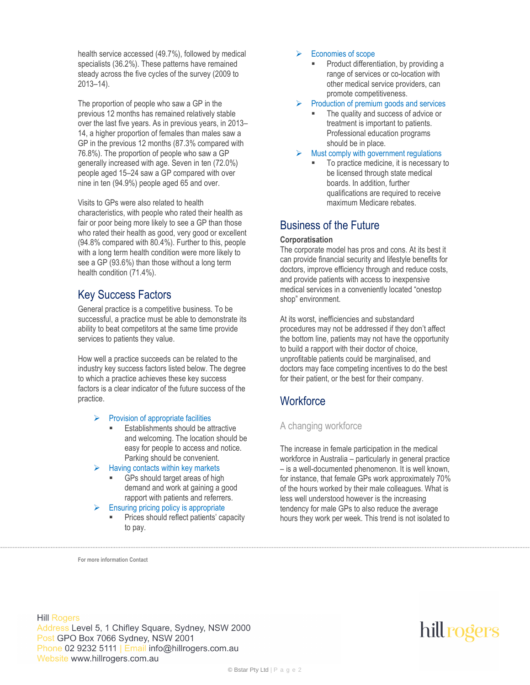health service accessed (49.7%), followed by medical specialists (36.2%). These patterns have remained steady across the five cycles of the survey (2009 to 2013–14).

The proportion of people who saw a GP in the previous 12 months has remained relatively stable over the last five years. As in previous years, in 2013– 14, a higher proportion of females than males saw a GP in the previous 12 months (87.3% compared with 76.8%). The proportion of people who saw a GP generally increased with age. Seven in ten (72.0%) people aged 15–24 saw a GP compared with over nine in ten (94.9%) people aged 65 and over.

Visits to GPs were also related to health characteristics, with people who rated their health as fair or poor being more likely to see a GP than those who rated their health as good, very good or excellent (94.8% compared with 80.4%). Further to this, people with a long term health condition were more likely to see a GP (93.6%) than those without a long term health condition (71.4%).

### Key Success Factors

General practice is a competitive business. To be successful, a practice must be able to demonstrate its ability to beat competitors at the same time provide services to patients they value.

How well a practice succeeds can be related to the industry key success factors listed below. The degree to which a practice achieves these key success factors is a clear indicator of the future success of the practice.

#### Provision of appropriate facilities

- Establishments should be attractive and welcoming. The location should be easy for people to access and notice. Parking should be convenient.
- Having contacts within key markets
	- GPs should target areas of high demand and work at gaining a good rapport with patients and referrers.
- Ensuring pricing policy is appropriate
	- Prices should reflect patients' capacity to pay.

#### $\triangleright$  Economies of scope

 Product differentiation, by providing a range of services or co-location with other medical service providers, can promote competitiveness.

#### Production of premium goods and services

- The quality and success of advice or treatment is important to patients. Professional education programs should be in place.
- Must comply with government regulations
	- To practice medicine, it is necessary to be licensed through state medical boards. In addition, further qualifications are required to receive maximum Medicare rebates.

### Business of the Future

#### **Corporatisation**

The corporate model has pros and cons. At its best it can provide financial security and lifestyle benefits for doctors, improve efficiency through and reduce costs, and provide patients with access to inexpensive medical services in a conveniently located "onestop shop" environment.

At its worst, inefficiencies and substandard procedures may not be addressed if they don't affect the bottom line, patients may not have the opportunity to build a rapport with their doctor of choice, unprofitable patients could be marginalised, and doctors may face competing incentives to do the best for their patient, or the best for their company.

### **Workforce**

#### A changing workforce

The increase in female participation in the medical workforce in Australia – particularly in general practice – is a well-documented phenomenon. It is well known, for instance, that female GPs work approximately 70% of the hours worked by their male colleagues. What is less well understood however is the increasing tendency for male GPs to also reduce the average hours they work per week. This trend is not isolated to

**For more information Contact**

**Hill Rogers** Address Level 5, 1 Chifley Square, Sydney, NSW 2000 Post GPO Box 7066 Sydney, NSW 2001 Phone 02 9232 5111 | Email info@hillrogers.com.au Website www.hillrogers.com.au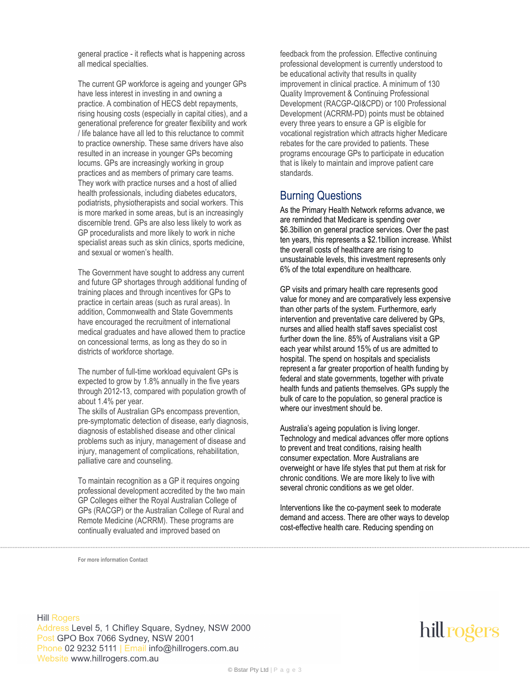general practice - it reflects what is happening across all medical specialties.

The current GP workforce is ageing and younger GPs have less interest in investing in and owning a practice. A combination of HECS debt repayments, rising housing costs (especially in capital cities), and a generational preference for greater flexibility and work / life balance have all led to this reluctance to commit to practice ownership. These same drivers have also resulted in an increase in younger GPs becoming locums. GPs are increasingly working in group practices and as members of primary care teams. They work with practice nurses and a host of allied health professionals, including diabetes educators, podiatrists, physiotherapists and social workers. This is more marked in some areas, but is an increasingly discernible trend. GPs are also less likely to work as GP proceduralists and more likely to work in niche specialist areas such as skin clinics, sports medicine, and sexual or women's health.

The Government have sought to address any current and future GP shortages through additional funding of training places and through incentives for GPs to practice in certain areas (such as rural areas). In addition, Commonwealth and State Governments have encouraged the recruitment of international medical graduates and have allowed them to practice on concessional terms, as long as they do so in districts of workforce shortage.

The number of full-time workload equivalent GPs is expected to grow by 1.8% annually in the five years through 2012-13, compared with population growth of about 1.4% per year.

The skills of Australian GPs encompass prevention, pre-symptomatic detection of disease, early diagnosis, diagnosis of established disease and other clinical problems such as injury, management of disease and injury, management of complications, rehabilitation, palliative care and counseling.

To maintain recognition as a GP it requires ongoing professional development accredited by the two main GP Colleges either the Royal Australian College of GPs (RACGP) or the Australian College of Rural and Remote Medicine (ACRRM). These programs are continually evaluated and improved based on

feedback from the profession. Effective continuing professional development is currently understood to be educational activity that results in quality improvement in clinical practice. A minimum of 130 Quality Improvement & Continuing Professional Development (RACGP-QI&CPD) or 100 Professional Development (ACRRM-PD) points must be obtained every three years to ensure a GP is eligible for vocational registration which attracts higher Medicare rebates for the care provided to patients. These programs encourage GPs to participate in education that is likely to maintain and improve patient care standards.

### Burning Questions

As the Primary Health Network reforms advance, we are reminded that Medicare is spending over \$6.3billion on general practice services. Over the past ten years, this represents a \$2.1billion increase. Whilst the overall costs of healthcare are rising to unsustainable levels, this investment represents only 6% of the total expenditure on healthcare.

GP visits and primary health care represents good value for money and are comparatively less expensive than other parts of the system. Furthermore, early intervention and preventative care delivered by GPs, nurses and allied health staff saves specialist cost further down the line. 85% of Australians visit a GP each year whilst around 15% of us are admitted to hospital. The spend on hospitals and specialists represent a far greater proportion of health funding by federal and state governments, together with private health funds and patients themselves. GPs supply the bulk of care to the population, so general practice is where our investment should be.

Australia's ageing population is living longer. Technology and medical advances offer more options to prevent and treat conditions, raising health consumer expectation. More Australians are overweight or have life styles that put them at risk for chronic conditions. We are more likely to live with several chronic conditions as we get older.

Interventions like the co-payment seek to moderate demand and access. There are other ways to develop cost-effective health care. Reducing spending on

**For more information Contact**

**Hill Rogers** Address Level 5, 1 Chifley Square, Sydney, NSW 2000 Post GPO Box 7066 Sydney, NSW 2001 Phone 02 9232 5111 | Email info@hillrogers.com.au Website www.hillrogers.com.au